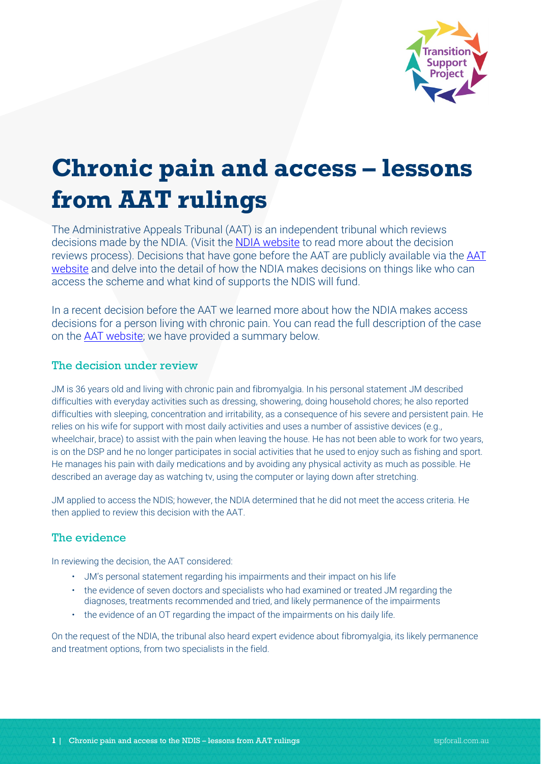

# **Chronic pain and access – lessons from AAT rulings**

The Administrative Appeals Tribunal (AAT) is an independent tribunal which reviews decisions made by the NDIA. (Visit the [NDIA website](https://www.ndis.gov.au/applying-access-ndis/how-apply/receiving-your-access-decision/internal-review-decision) to read more about the decision reviews process). Decisions that have gone before the AAT are publicly available via the [AAT](https://www.aat.gov.au/decision-summaries)  [website](https://www.aat.gov.au/decision-summaries) and delve into the detail of how the NDIA makes decisions on things like who can access the scheme and what kind of supports the NDIS will fund.

In a recent decision before the AAT we learned more about how the NDIA makes access decisions for a person living with chronic pain. You can read the full description of the case on the [AAT website;](https://www.aat.gov.au/decision-summaries/decision-summaries-may-2019/mcfarlane-and-national-disability-insurance-agency) we have provided a summary below.

## The decision under review

JM is 36 years old and living with chronic pain and fibromyalgia. In his personal statement JM described difficulties with everyday activities such as dressing, showering, doing household chores; he also reported difficulties with sleeping, concentration and irritability, as a consequence of his severe and persistent pain. He relies on his wife for support with most daily activities and uses a number of assistive devices (e.g., wheelchair, brace) to assist with the pain when leaving the house. He has not been able to work for two years, is on the DSP and he no longer participates in social activities that he used to enjoy such as fishing and sport. He manages his pain with daily medications and by avoiding any physical activity as much as possible. He described an average day as watching tv, using the computer or laying down after stretching.

JM applied to access the NDIS; however, the NDIA determined that he did not meet the access criteria. He then applied to review this decision with the AAT.

# The evidence

In reviewing the decision, the AAT considered:

- JM's personal statement regarding his impairments and their impact on his life
- the evidence of seven doctors and specialists who had examined or treated JM regarding the diagnoses, treatments recommended and tried, and likely permanence of the impairments
- the evidence of an OT regarding the impact of the impairments on his daily life.

On the request of the NDIA, the tribunal also heard expert evidence about fibromyalgia, its likely permanence and treatment options, from two specialists in the field.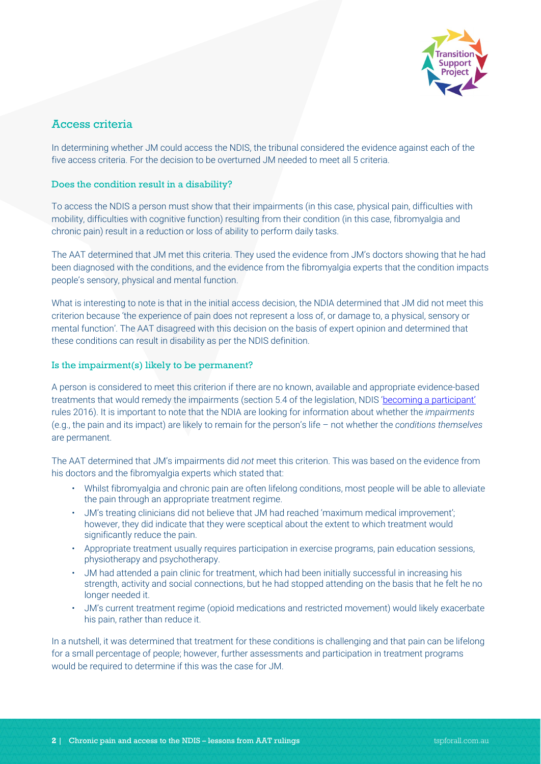

# Access criteria

In determining whether JM could access the NDIS, the tribunal considered the evidence against each of the five access criteria. For the decision to be overturned JM needed to meet all 5 criteria.

#### Does the condition result in a disability?

To access the NDIS a person must show that their impairments (in this case, physical pain, difficulties with mobility, difficulties with cognitive function) resulting from their condition (in this case, fibromyalgia and chronic pain) result in a reduction or loss of ability to perform daily tasks.

The AAT determined that JM met this criteria. They used the evidence from JM's doctors showing that he had been diagnosed with the conditions, and the evidence from the fibromyalgia experts that the condition impacts people's sensory, physical and mental function.

What is interesting to note is that in the initial access decision, the NDIA determined that JM did not meet this criterion because 'the experience of pain does not represent a loss of, or damage to, a physical, sensory or mental function'. The AAT disagreed with this decision on the basis of expert opinion and determined that these conditions can result in disability as per the NDIS definition.

#### Is the impairment(s) likely to be permanent?

A person is considered to meet this criterion if there are no known, available and appropriate evidence-based treatments that would remedy the impairments (section 5.4 of the legislation, NDIS ['becoming a participant'](https://www.legislation.gov.au/Details/F2018C00165/Html/Text#_Toc447096670) rules 2016). It is important to note that the NDIA are looking for information about whether the *impairments* (e.g., the pain and its impact) are likely to remain for the person's life – not whether the *conditions themselves* are permanent.

The AAT determined that JM's impairments did *not* meet this criterion. This was based on the evidence from his doctors and the fibromyalgia experts which stated that:

- Whilst fibromyalgia and chronic pain are often lifelong conditions, most people will be able to alleviate the pain through an appropriate treatment regime.
- JM's treating clinicians did not believe that JM had reached 'maximum medical improvement'; however, they did indicate that they were sceptical about the extent to which treatment would significantly reduce the pain.
- Appropriate treatment usually requires participation in exercise programs, pain education sessions, physiotherapy and psychotherapy.
- JM had attended a pain clinic for treatment, which had been initially successful in increasing his strength, activity and social connections, but he had stopped attending on the basis that he felt he no longer needed it.
- JM's current treatment regime (opioid medications and restricted movement) would likely exacerbate his pain, rather than reduce it.

In a nutshell, it was determined that treatment for these conditions is challenging and that pain can be lifelong for a small percentage of people; however, further assessments and participation in treatment programs would be required to determine if this was the case for JM.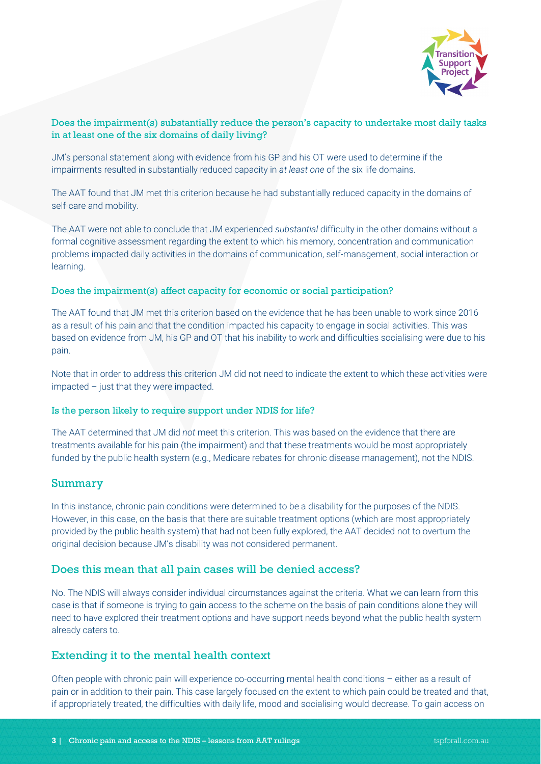

#### Does the impairment(s) substantially reduce the person's capacity to undertake most daily tasks in at least one of the six domains of daily living?

JM's personal statement along with evidence from his GP and his OT were used to determine if the impairments resulted in substantially reduced capacity in *at least one* of the six life domains.

The AAT found that JM met this criterion because he had substantially reduced capacity in the domains of self-care and mobility.

The AAT were not able to conclude that JM experienced *substantial* difficulty in the other domains without a formal cognitive assessment regarding the extent to which his memory, concentration and communication problems impacted daily activities in the domains of communication, self-management, social interaction or learning.

#### Does the impairment(s) affect capacity for economic or social participation?

The AAT found that JM met this criterion based on the evidence that he has been unable to work since 2016 as a result of his pain and that the condition impacted his capacity to engage in social activities. This was based on evidence from JM, his GP and OT that his inability to work and difficulties socialising were due to his pain.

Note that in order to address this criterion JM did not need to indicate the extent to which these activities were impacted – just that they were impacted.

#### Is the person likely to require support under NDIS for life?

The AAT determined that JM did *not* meet this criterion. This was based on the evidence that there are treatments available for his pain (the impairment) and that these treatments would be most appropriately funded by the public health system (e.g., Medicare rebates for chronic disease management), not the NDIS.

#### Summary

In this instance, chronic pain conditions were determined to be a disability for the purposes of the NDIS. However, in this case, on the basis that there are suitable treatment options (which are most appropriately provided by the public health system) that had not been fully explored, the AAT decided not to overturn the original decision because JM's disability was not considered permanent.

#### Does this mean that all pain cases will be denied access?

No. The NDIS will always consider individual circumstances against the criteria. What we can learn from this case is that if someone is trying to gain access to the scheme on the basis of pain conditions alone they will need to have explored their treatment options and have support needs beyond what the public health system already caters to.

## Extending it to the mental health context

Often people with chronic pain will experience co-occurring mental health conditions – either as a result of pain or in addition to their pain. This case largely focused on the extent to which pain could be treated and that, if appropriately treated, the difficulties with daily life, mood and socialising would decrease. To gain access on